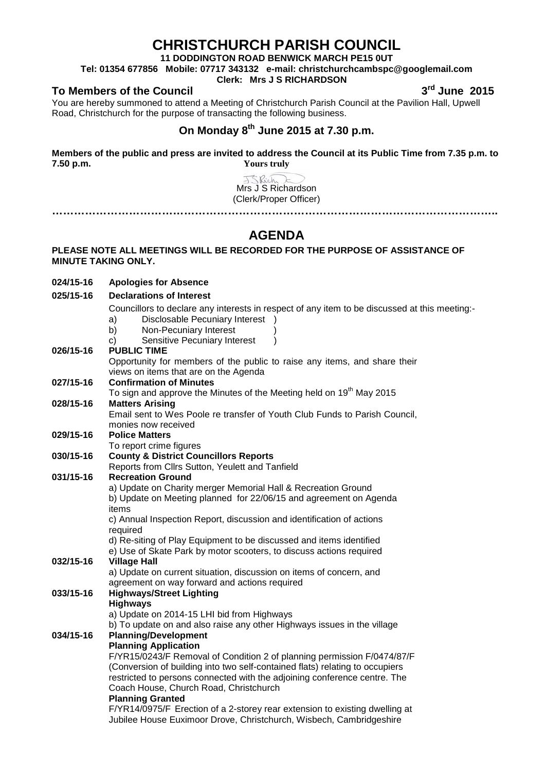# **CHRISTCHURCH PARISH COUNCIL**

**11 DODDINGTON ROAD BENWICK MARCH PE15 0UT**

**Tel: 01354 677856 Mobile: 07717 343132 e-mail: christchurchcambspc@googlemail.com**

#### **Clerk: Mrs J S RICHARDSON**

### **To Members of the Council 3rd June 2015**

**024/15-16 Apologies for Absence**

You are hereby summoned to attend a Meeting of Christchurch Parish Council at the Pavilion Hall, Upwell Road, Christchurch for the purpose of transacting the following business.

### **On Monday 8th June 2015 at 7.30 p.m.**

**Members of the public and press are invited to address the Council at its Public Time from 7.35 p.m. to 7.50 p.m. Yours truly**

> J.S. Rich Mrs J S Richardson (Clerk/Proper Officer)

## **AGENDA**

**…………………………………………………………………………………………………………..**

#### **PLEASE NOTE ALL MEETINGS WILL BE RECORDED FOR THE PURPOSE OF ASSISTANCE OF MINUTE TAKING ONLY.**

| 025/15-16 | <b>Declarations of Interest</b>                                                               |  |  |
|-----------|-----------------------------------------------------------------------------------------------|--|--|
|           | Councillors to declare any interests in respect of any item to be discussed at this meeting:- |  |  |
|           | Disclosable Pecuniary Interest )<br>a)                                                        |  |  |
|           | b)<br>Non-Pecuniary Interest                                                                  |  |  |
|           | Sensitive Pecuniary Interest<br>C)                                                            |  |  |
| 026/15-16 | <b>PUBLIC TIME</b>                                                                            |  |  |
|           | Opportunity for members of the public to raise any items, and share their                     |  |  |
|           | views on items that are on the Agenda                                                         |  |  |
| 027/15-16 | <b>Confirmation of Minutes</b>                                                                |  |  |
|           | To sign and approve the Minutes of the Meeting held on 19 <sup>th</sup> May 2015              |  |  |
| 028/15-16 | <b>Matters Arising</b>                                                                        |  |  |
|           | Email sent to Wes Poole re transfer of Youth Club Funds to Parish Council,                    |  |  |
|           | monies now received                                                                           |  |  |
| 029/15-16 | <b>Police Matters</b>                                                                         |  |  |
|           | To report crime figures                                                                       |  |  |
| 030/15-16 | <b>County &amp; District Councillors Reports</b>                                              |  |  |
|           | Reports from Cllrs Sutton, Yeulett and Tanfield                                               |  |  |
| 031/15-16 | <b>Recreation Ground</b>                                                                      |  |  |
|           | a) Update on Charity merger Memorial Hall & Recreation Ground                                 |  |  |
|           | b) Update on Meeting planned for 22/06/15 and agreement on Agenda<br>items                    |  |  |
|           | c) Annual Inspection Report, discussion and identification of actions                         |  |  |
|           | required                                                                                      |  |  |
|           | d) Re-siting of Play Equipment to be discussed and items identified                           |  |  |
|           | e) Use of Skate Park by motor scooters, to discuss actions required                           |  |  |
| 032/15-16 | <b>Village Hall</b>                                                                           |  |  |
|           | a) Update on current situation, discussion on items of concern, and                           |  |  |
|           | agreement on way forward and actions required                                                 |  |  |
| 033/15-16 | <b>Highways/Street Lighting</b>                                                               |  |  |
|           | <b>Highways</b>                                                                               |  |  |
|           | a) Update on 2014-15 LHI bid from Highways                                                    |  |  |
|           | b) To update on and also raise any other Highways issues in the village                       |  |  |
| 034/15-16 | <b>Planning/Development</b>                                                                   |  |  |
|           | <b>Planning Application</b>                                                                   |  |  |
|           | F/YR15/0243/F Removal of Condition 2 of planning permission F/0474/87/F                       |  |  |
|           | (Conversion of building into two self-contained flats) relating to occupiers                  |  |  |
|           | restricted to persons connected with the adjoining conference centre. The                     |  |  |
|           | Coach House, Church Road, Christchurch                                                        |  |  |
|           | <b>Planning Granted</b>                                                                       |  |  |
|           | F/YR14/0975/F Erection of a 2-storey rear extension to existing dwelling at                   |  |  |
|           | Jubilee House Euximoor Drove, Christchurch, Wisbech, Cambridgeshire                           |  |  |